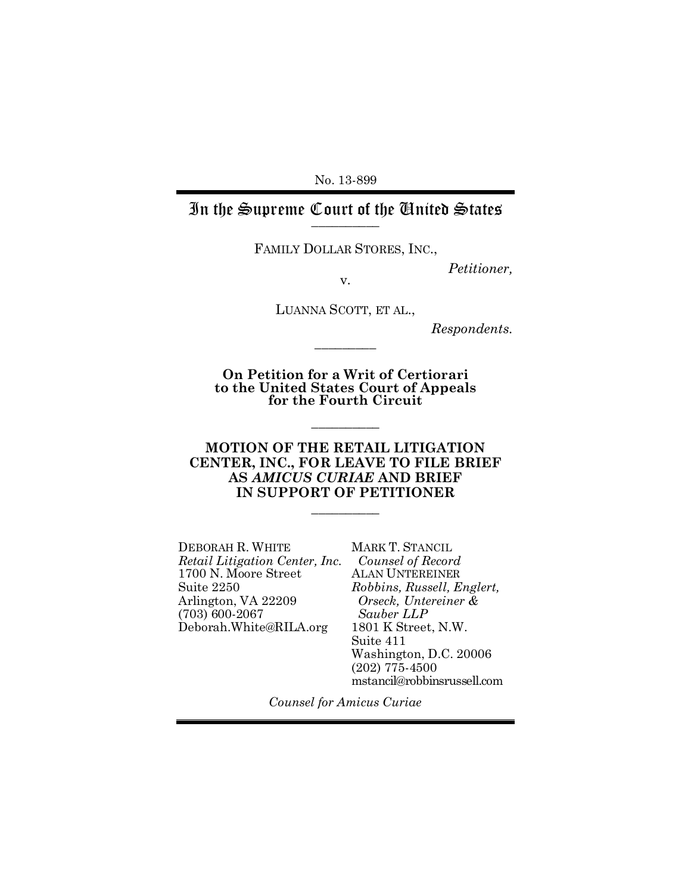No. 13-899

## In the Supreme Court of the United States

FAMILY DOLLAR STORES, INC.,

*Petitioner,*

v.

LUANNA SCOTT, ET AL.,

\_\_\_\_\_\_\_\_\_

*Respondents.*

**On Petition for a Writ of Certiorari to the United States Court of Appeals for the Fourth Circuit**

\_\_\_\_\_\_\_\_\_\_

#### **MOTION OF THE RETAIL LITIGATION CENTER, INC., FOR LEAVE TO FILE BRIEF AS** *AMICUS CURIAE* **AND BRIEF IN SUPPORT OF PETITIONER**

\_\_\_\_\_\_\_\_\_\_

DEBORAH R. WHITE *Retail Litigation Center, Inc.* 1700 N. Moore Street Suite 2250 Arlington, VA 22209 (703) 600-2067 Deborah.White@RILA.org

MARK T. STANCIL  *Counsel of Record* ALAN UNTEREINER *Robbins, Russell, Englert, Orseck, Untereiner & Sauber LLP* 1801 K Street, N.W. Suite 411 Washington, D.C. 20006 (202) 775-4500 mstancil@robbinsrussell.com

*Counsel for Amicus Curiae*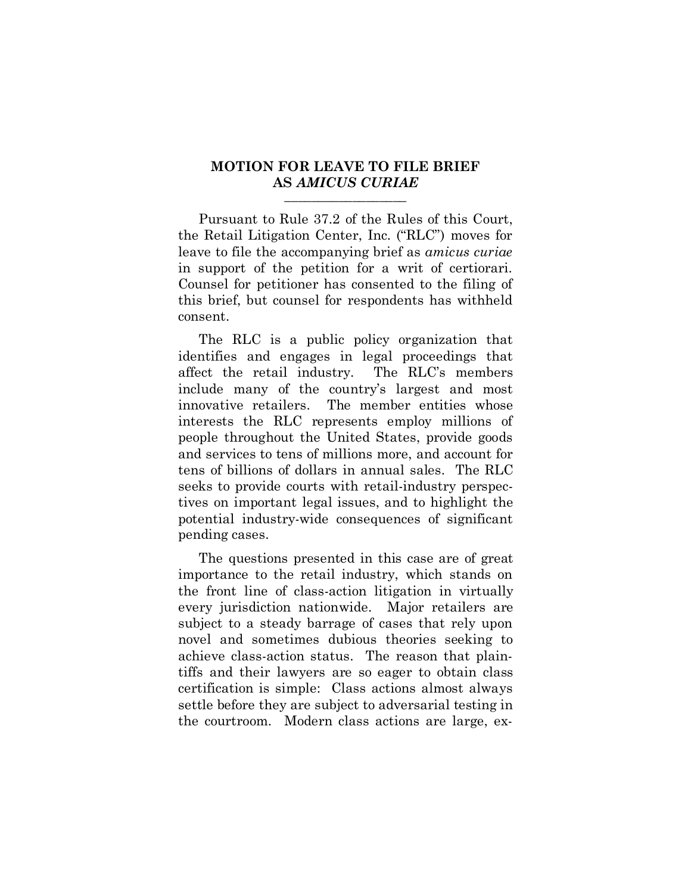#### **MOTION FOR LEAVE TO FILE BRIEF AS** *AMICUS CURIAE* \_\_\_\_\_\_\_\_\_\_\_\_\_\_\_\_\_\_

Pursuant to Rule 37.2 of the Rules of this Court, the Retail Litigation Center, Inc. ("RLC") moves for leave to file the accompanying brief as *amicus curiae*  in support of the petition for a writ of certiorari. Counsel for petitioner has consented to the filing of this brief, but counsel for respondents has withheld consent.

The RLC is a public policy organization that identifies and engages in legal proceedings that affect the retail industry. The RLC's members include many of the country's largest and most innovative retailers. The member entities whose interests the RLC represents employ millions of people throughout the United States, provide goods and services to tens of millions more, and account for tens of billions of dollars in annual sales. The RLC seeks to provide courts with retail-industry perspectives on important legal issues, and to highlight the potential industry-wide consequences of significant pending cases.

The questions presented in this case are of great importance to the retail industry, which stands on the front line of class-action litigation in virtually every jurisdiction nationwide. Major retailers are subject to a steady barrage of cases that rely upon novel and sometimes dubious theories seeking to achieve class-action status. The reason that plaintiffs and their lawyers are so eager to obtain class certification is simple: Class actions almost always settle before they are subject to adversarial testing in the courtroom. Modern class actions are large, ex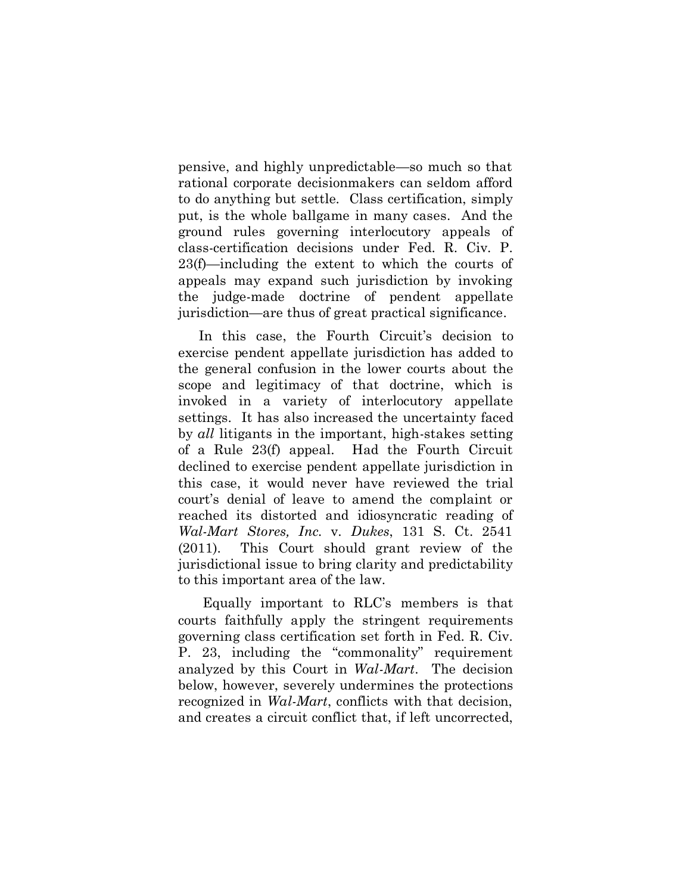pensive, and highly unpredictable—so much so that rational corporate decisionmakers can seldom afford to do anything but settle. Class certification, simply put, is the whole ballgame in many cases. And the ground rules governing interlocutory appeals of class-certification decisions under Fed. R. Civ. P. 23(f)—including the extent to which the courts of appeals may expand such jurisdiction by invoking the judge-made doctrine of pendent appellate jurisdiction—are thus of great practical significance.

In this case, the Fourth Circuit's decision to exercise pendent appellate jurisdiction has added to the general confusion in the lower courts about the scope and legitimacy of that doctrine, which is invoked in a variety of interlocutory appellate settings. It has also increased the uncertainty faced by *all* litigants in the important, high-stakes setting of a Rule 23(f) appeal. Had the Fourth Circuit declined to exercise pendent appellate jurisdiction in this case, it would never have reviewed the trial court's denial of leave to amend the complaint or reached its distorted and idiosyncratic reading of *Wal-Mart Stores, Inc.* v. *Dukes*, 131 S. Ct. 2541 (2011). This Court should grant review of the jurisdictional issue to bring clarity and predictability to this important area of the law.

Equally important to RLC's members is that courts faithfully apply the stringent requirements governing class certification set forth in Fed. R. Civ. P. 23, including the "commonality" requirement analyzed by this Court in *Wal-Mart*. The decision below, however, severely undermines the protections recognized in *Wal-Mart*, conflicts with that decision, and creates a circuit conflict that, if left uncorrected,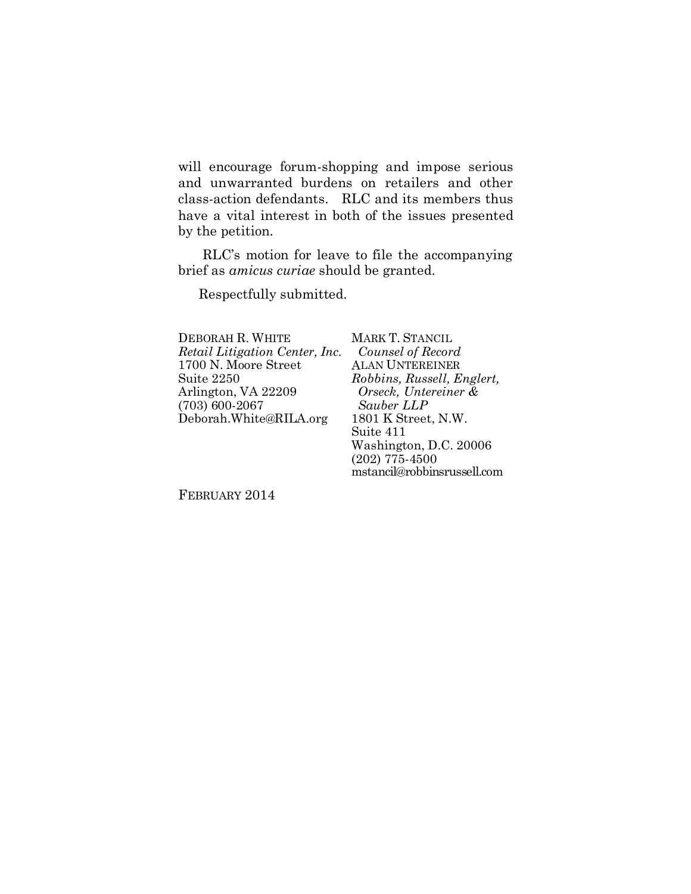will encourage forum-shopping and impose serious and unwarranted burdens on retailers and other class-action defendants. RLC and its members thus have a vital interest in both of the issues presented by the petition.

RLC's motion for leave to file the accompanying brief as *amicus curiae* should be granted.

Respectfully submitted.

DEBORAH R. WHITE *Retail Litigation Center, Inc.* 1700 N. Moore Street Suite 2250 Arlington, VA 22209 (703) 600-2067 Deborah.White@RILA.org

MARK T. STANCIL  *Counsel of Record* ALAN UNTEREINER *Robbins, Russell, Englert, Orseck, Untereiner & Sauber LLP* 1801 K Street, N.W. Suite 411 Washington, D.C. 20006 (202) 775-4500 mstancil@robbinsrussell.com

FEBRUARY 2014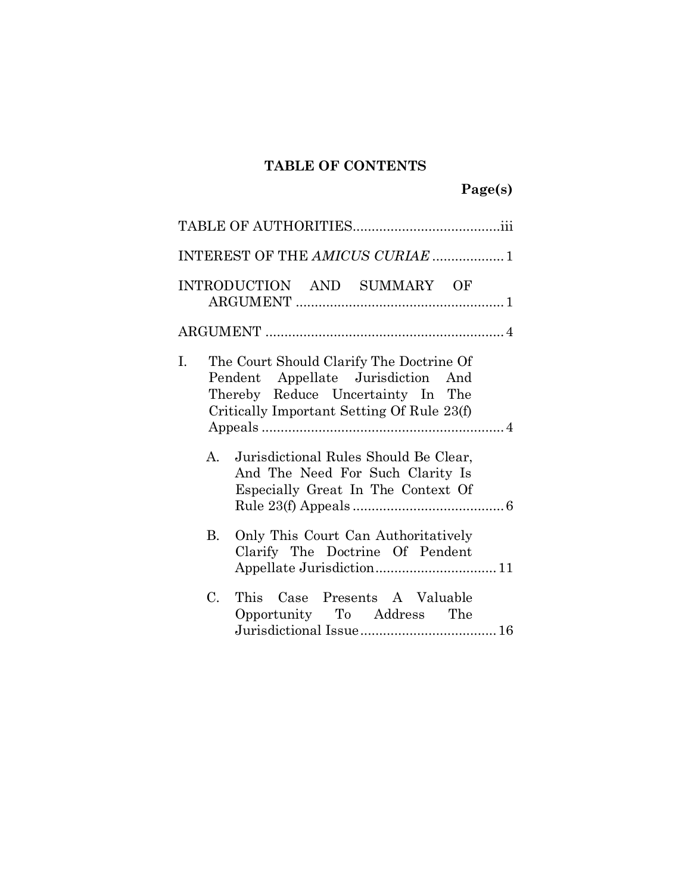## **TABLE OF CONTENTS**

|              | INTEREST OF THE AMICUS CURIAE 1                                                                                                                                   |  |
|--------------|-------------------------------------------------------------------------------------------------------------------------------------------------------------------|--|
|              | INTRODUCTION AND SUMMARY OF                                                                                                                                       |  |
|              |                                                                                                                                                                   |  |
| I.           | The Court Should Clarify The Doctrine Of<br>Pendent Appellate Jurisdiction And<br>Thereby Reduce Uncertainty In The<br>Critically Important Setting Of Rule 23(f) |  |
| $\mathbf{A}$ | Jurisdictional Rules Should Be Clear,<br>And The Need For Such Clarity Is<br>Especially Great In The Context Of                                                   |  |
| <b>B.</b>    | Only This Court Can Authoritatively<br>Clarify The Doctrine Of Pendent                                                                                            |  |
| $C_{\cdot}$  | This Case Presents A Valuable<br>Opportunity To Address The                                                                                                       |  |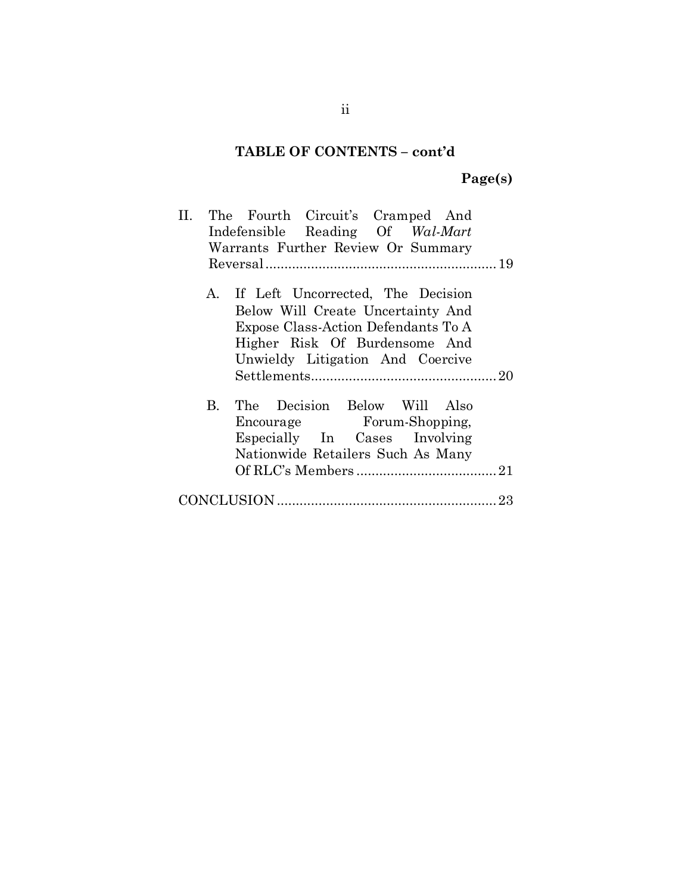## **TABLE OF CONTENTS – cont'd**

**Page(s)**

| П.                                |             | The Fourth Circuit's Cramped And     |  |
|-----------------------------------|-------------|--------------------------------------|--|
|                                   |             | Indefensible Reading Of Wal-Mart     |  |
|                                   |             | Warrants Further Review Or Summary   |  |
|                                   |             |                                      |  |
|                                   |             | A. If Left Uncorrected, The Decision |  |
| Below Will Create Uncertainty And |             |                                      |  |
|                                   |             | Expose Class-Action Defendants To A  |  |
|                                   |             | Higher Risk Of Burdensome And        |  |
|                                   |             | Unwieldy Litigation And Coercive     |  |
|                                   |             |                                      |  |
|                                   | $B_{\cdot}$ | The Decision Below Will Also         |  |
|                                   |             | Encourage Forum-Shopping,            |  |
|                                   |             | Especially In Cases Involving        |  |
|                                   |             | Nationwide Retailers Such As Many    |  |
|                                   |             |                                      |  |
|                                   |             | 23                                   |  |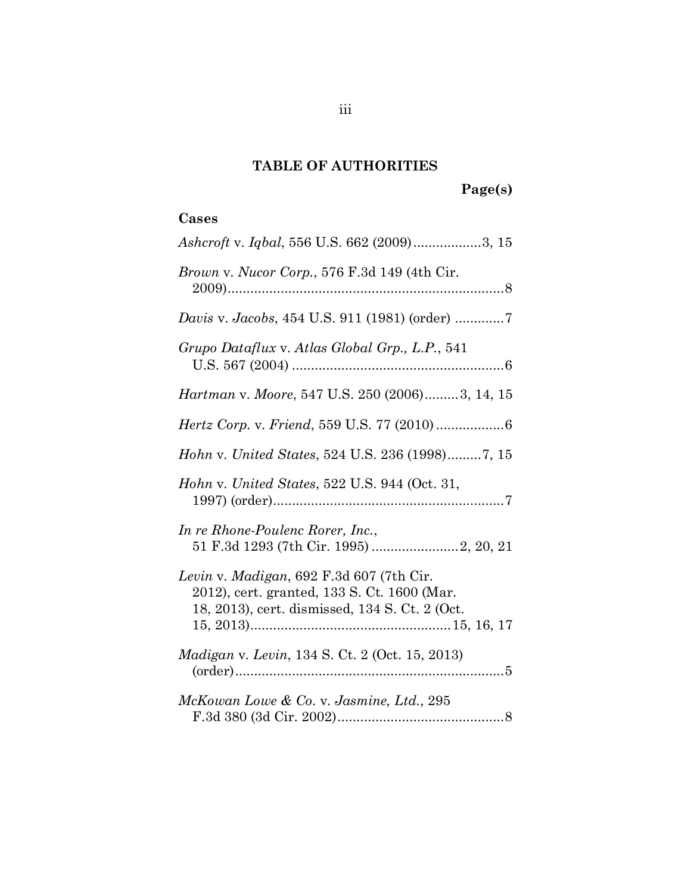## **TABLE OF AUTHORITIES**

## **Page(s)**

## **Cases**

| Ashcroft v. Iqbal, 556 U.S. 662 (2009)3, 15                                                                                               |
|-------------------------------------------------------------------------------------------------------------------------------------------|
| Brown v. Nucor Corp., 576 F.3d 149 (4th Cir.                                                                                              |
| <i>Davis v. Jacobs, 454 U.S. 911 (1981) (order) </i> 7                                                                                    |
| Grupo Dataflux v. Atlas Global Grp., L.P., 541                                                                                            |
| Hartman v. Moore, 547 U.S. 250 (2006)3, 14, 15                                                                                            |
|                                                                                                                                           |
| Hohn v. United States, 524 U.S. 236 (1998)7, 15                                                                                           |
| Hohn v. United States, 522 U.S. 944 (Oct. 31,                                                                                             |
| In re Rhone-Poulenc Rorer, Inc.,<br>51 F.3d 1293 (7th Cir. 1995)  2, 20, 21                                                               |
| Levin v. Madigan, 692 F.3d 607 (7th Cir.<br>2012), cert. granted, 133 S. Ct. 1600 (Mar.<br>18, 2013), cert. dismissed, 134 S. Ct. 2 (Oct. |
| <i>Madigan v. Levin,</i> 134 S. Ct. 2 (Oct. 15, 2013)                                                                                     |
| McKowan Lowe & Co. v. Jasmine, Ltd., 295                                                                                                  |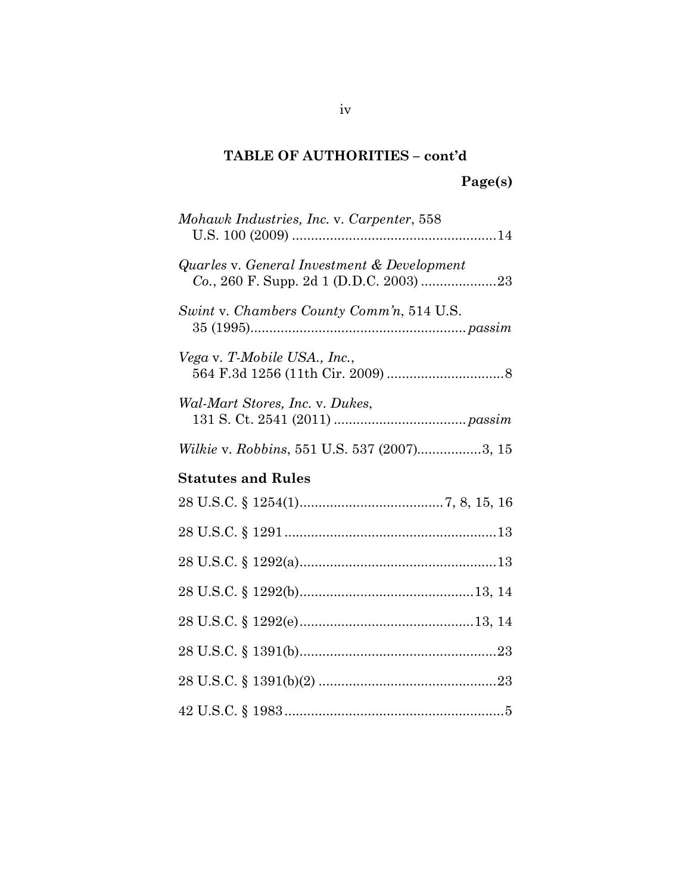# **TABLE OF AUTHORITIES – cont'd Page(s)**

| Mohawk Industries, Inc. v. Carpenter, 558   |  |  |  |
|---------------------------------------------|--|--|--|
|                                             |  |  |  |
| Quarles v. General Investment & Development |  |  |  |
| Swint v. Chambers County Comm'n, 514 U.S.   |  |  |  |
| Vega v. T-Mobile USA., Inc.,                |  |  |  |
| Wal-Mart Stores, Inc. v. Dukes,             |  |  |  |
|                                             |  |  |  |
| <b>Statutes and Rules</b>                   |  |  |  |
|                                             |  |  |  |
|                                             |  |  |  |
|                                             |  |  |  |
|                                             |  |  |  |
|                                             |  |  |  |
|                                             |  |  |  |
|                                             |  |  |  |
|                                             |  |  |  |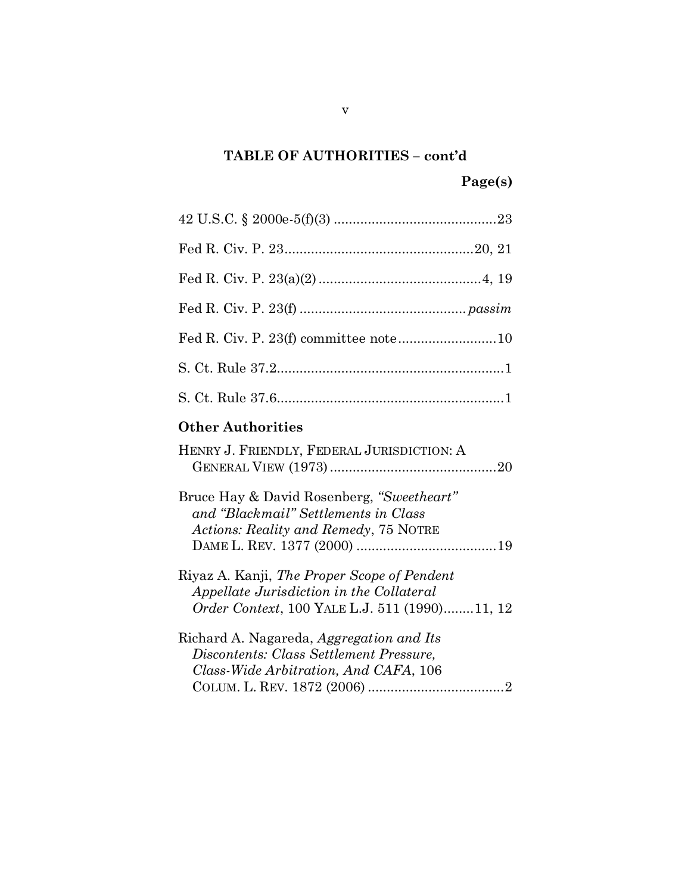# **TABLE OF AUTHORITIES – cont'd**

| <b>Other Authorities</b>                                                                                                                        |
|-------------------------------------------------------------------------------------------------------------------------------------------------|
| HENRY J. FRIENDLY, FEDERAL JURISDICTION: A                                                                                                      |
| Bruce Hay & David Rosenberg, "Sweetheart"<br>and "Blackmail" Settlements in Class<br>Actions: Reality and Remedy, 75 NOTRE                      |
| Riyaz A. Kanji, <i>The Proper Scope of Pendent</i><br>Appellate Jurisdiction in the Collateral<br>Order Context, 100 YALE L.J. 511 (1990)11, 12 |
| Richard A. Nagareda, Aggregation and Its<br>Discontents: Class Settlement Pressure,<br>Class-Wide Arbitration, And CAFA, 106                    |

v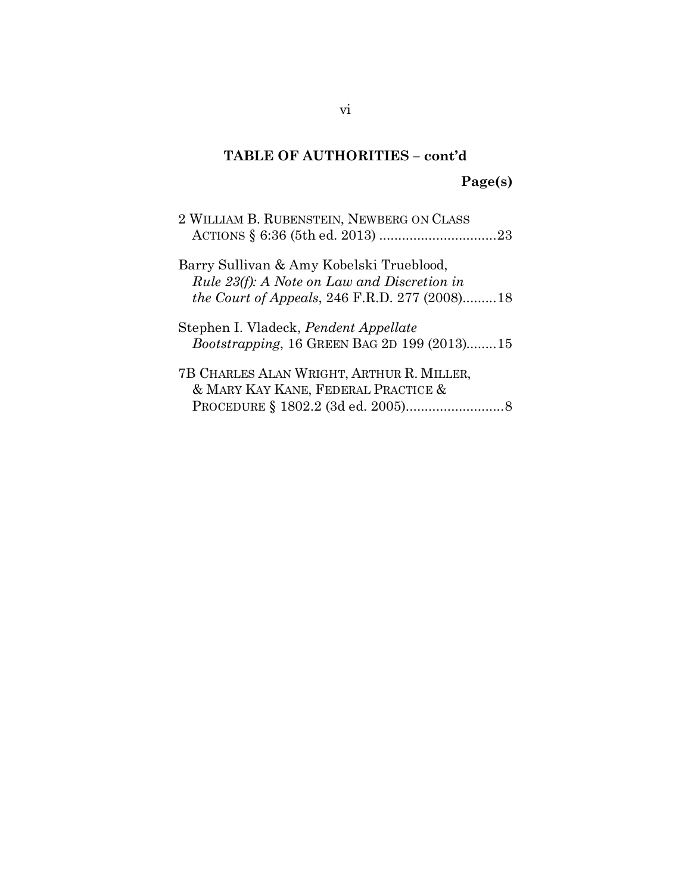# **TABLE OF AUTHORITIES – cont'd Page(s)**

| 2 WILLIAM B. RUBENSTEIN, NEWBERG ON CLASS            |
|------------------------------------------------------|
| Barry Sullivan & Amy Kobelski Trueblood,             |
| <i>Rule 23(f): A Note on Law and Discretion in</i>   |
| <i>the Court of Appeals, 246 F.R.D. 277 (2008)18</i> |
| Stephen I. Vladeck, <i>Pendent Appellate</i>         |
| <i>Bootstrapping</i> , 16 GREEN BAG 2D 199 (2013)15  |
| 7B CHARLES ALAN WRIGHT, ARTHUR R. MILLER,            |
| & MARY KAY KANE, FEDERAL PRACTICE &                  |
|                                                      |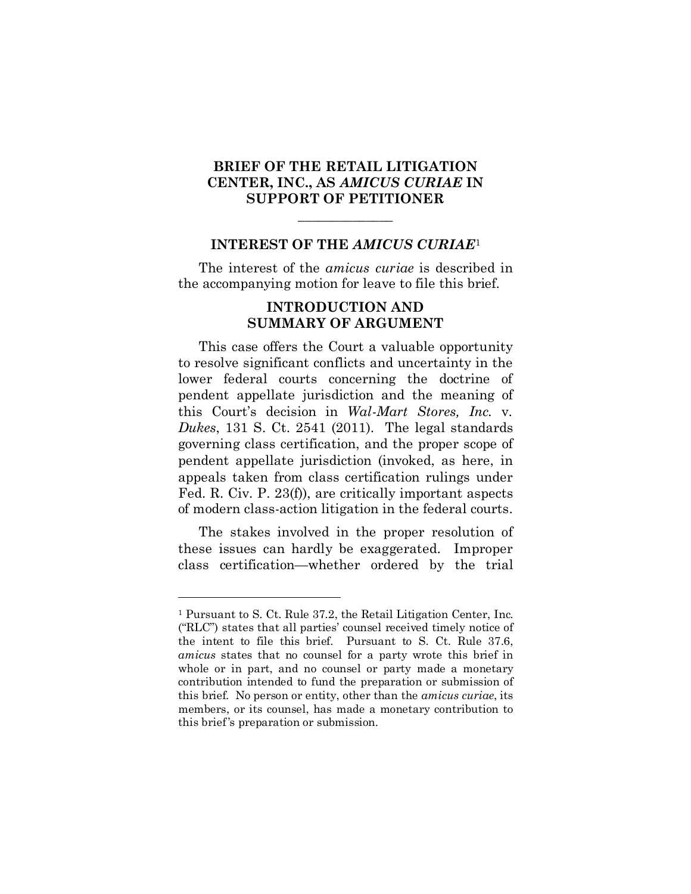#### **BRIEF OF THE RETAIL LITIGATION CENTER, INC., AS** *AMICUS CURIAE* **IN SUPPORT OF PETITIONER**

#### **INTEREST OF THE** *AMICUS CURIAE*<sup>1</sup>

**\_\_\_\_\_\_\_\_\_\_\_\_\_\_**

The interest of the *amicus curiae* is described in the accompanying motion for leave to file this brief.

#### **INTRODUCTION AND SUMMARY OF ARGUMENT**

This case offers the Court a valuable opportunity to resolve significant conflicts and uncertainty in the lower federal courts concerning the doctrine of pendent appellate jurisdiction and the meaning of this Court's decision in *Wal-Mart Stores, Inc.* v. *Dukes*, 131 S. Ct. 2541 (2011). The legal standards governing class certification, and the proper scope of pendent appellate jurisdiction (invoked, as here, in appeals taken from class certification rulings under Fed. R. Civ. P. 23(f)), are critically important aspects of modern class-action litigation in the federal courts.

The stakes involved in the proper resolution of these issues can hardly be exaggerated. Improper class certification—whether ordered by the trial

 $\overline{a}$ 

<sup>1</sup> Pursuant to S. Ct. Rule 37.2, the Retail Litigation Center, Inc. ("RLC") states that all parties' counsel received timely notice of the intent to file this brief. Pursuant to S. Ct. Rule 37.6, *amicus* states that no counsel for a party wrote this brief in whole or in part, and no counsel or party made a monetary contribution intended to fund the preparation or submission of this brief. No person or entity, other than the *amicus curiae*, its members, or its counsel, has made a monetary contribution to this brief's preparation or submission.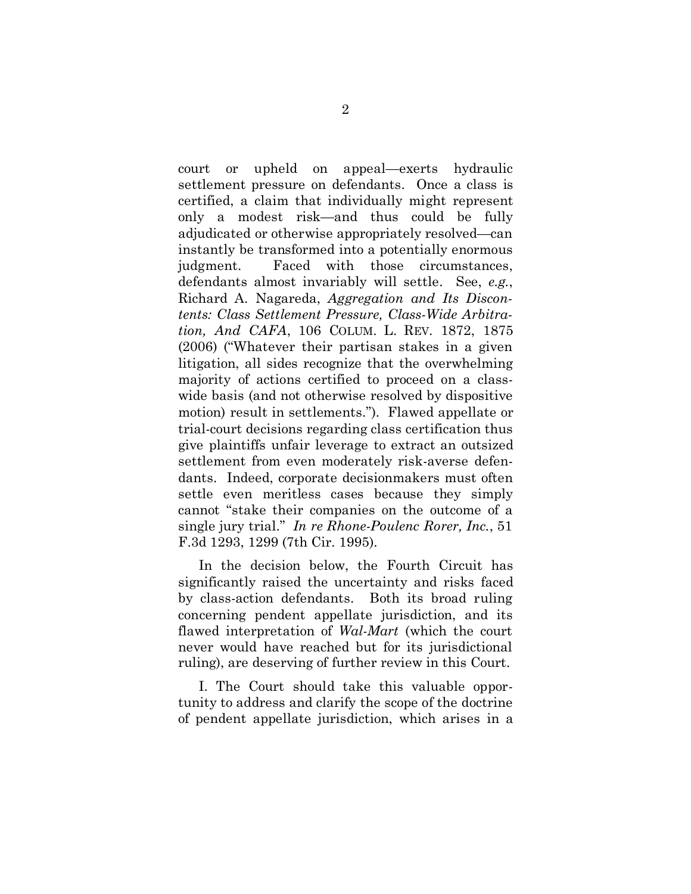court or upheld on appeal—exerts hydraulic settlement pressure on defendants. Once a class is certified, a claim that individually might represent only a modest risk—and thus could be fully adjudicated or otherwise appropriately resolved—can instantly be transformed into a potentially enormous judgment. Faced with those circumstances, defendants almost invariably will settle. See, *e.g.*, Richard A. Nagareda, *Aggregation and Its Discontents: Class Settlement Pressure, Class-Wide Arbitration, And CAFA*, 106 COLUM. L. REV. 1872, 1875 (2006) ("Whatever their partisan stakes in a given litigation, all sides recognize that the overwhelming majority of actions certified to proceed on a classwide basis (and not otherwise resolved by dispositive motion) result in settlements."). Flawed appellate or trial-court decisions regarding class certification thus give plaintiffs unfair leverage to extract an outsized settlement from even moderately risk-averse defendants. Indeed, corporate decisionmakers must often settle even meritless cases because they simply cannot "stake their companies on the outcome of a single jury trial." *In re Rhone-Poulenc Rorer, Inc.*, 51 F.3d 1293, 1299 (7th Cir. 1995).

In the decision below, the Fourth Circuit has significantly raised the uncertainty and risks faced by class-action defendants. Both its broad ruling concerning pendent appellate jurisdiction, and its flawed interpretation of *Wal-Mart* (which the court never would have reached but for its jurisdictional ruling), are deserving of further review in this Court.

I. The Court should take this valuable opportunity to address and clarify the scope of the doctrine of pendent appellate jurisdiction, which arises in a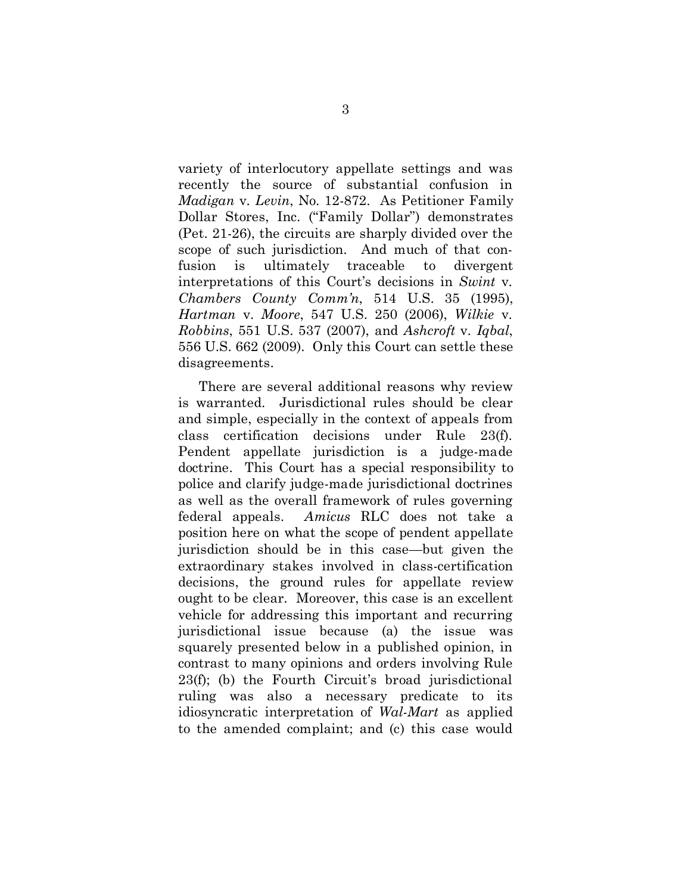variety of interlocutory appellate settings and was recently the source of substantial confusion in *Madigan* v. *Levin*, No. 12-872. As Petitioner Family Dollar Stores, Inc. ("Family Dollar") demonstrates (Pet. 21-26), the circuits are sharply divided over the scope of such jurisdiction. And much of that confusion is ultimately traceable to divergent interpretations of this Court's decisions in *Swint* v. *Chambers County Comm'n*, 514 U.S. 35 (1995), *Hartman* v. *Moore*, 547 U.S. 250 (2006), *Wilkie* v. *Robbins*, 551 U.S. 537 (2007), and *Ashcroft* v. *Iqbal*, 556 U.S. 662 (2009). Only this Court can settle these disagreements.

There are several additional reasons why review is warranted. Jurisdictional rules should be clear and simple, especially in the context of appeals from class certification decisions under Rule 23(f). Pendent appellate jurisdiction is a judge-made doctrine. This Court has a special responsibility to police and clarify judge-made jurisdictional doctrines as well as the overall framework of rules governing federal appeals. *Amicus* RLC does not take a position here on what the scope of pendent appellate jurisdiction should be in this case—but given the extraordinary stakes involved in class-certification decisions, the ground rules for appellate review ought to be clear. Moreover, this case is an excellent vehicle for addressing this important and recurring jurisdictional issue because (a) the issue was squarely presented below in a published opinion, in contrast to many opinions and orders involving Rule 23(f); (b) the Fourth Circuit's broad jurisdictional ruling was also a necessary predicate to its idiosyncratic interpretation of *Wal-Mart* as applied to the amended complaint; and (c) this case would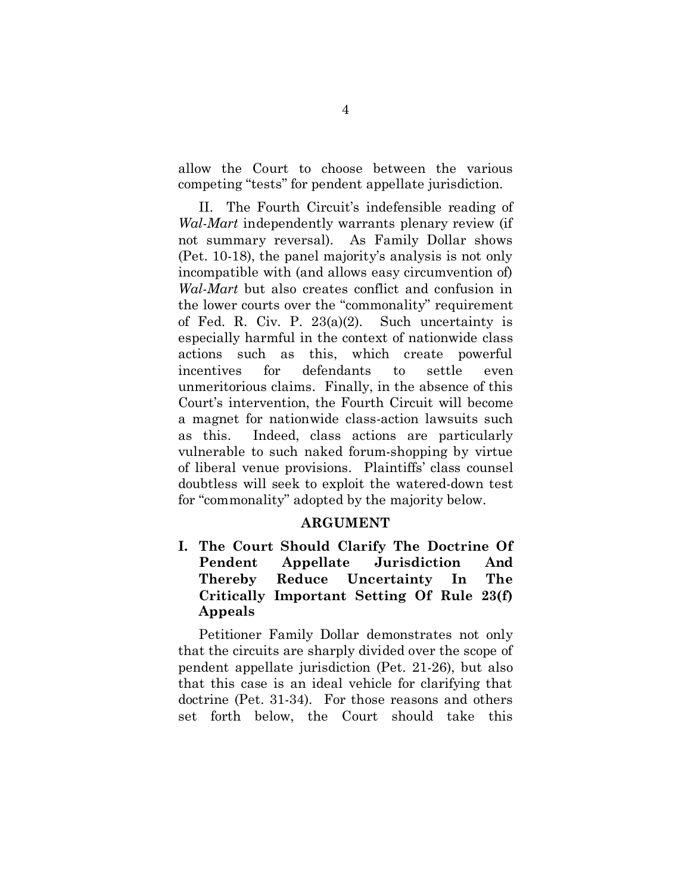allow the Court to choose between the various competing "tests" for pendent appellate jurisdiction.

II. The Fourth Circuit's indefensible reading of *Wal-Mart* independently warrants plenary review (if not summary reversal). As Family Dollar shows (Pet. 10-18), the panel majority's analysis is not only incompatible with (and allows easy circumvention of) *Wal-Mart* but also creates conflict and confusion in the lower courts over the "commonality" requirement of Fed. R. Civ. P. 23(a)(2). Such uncertainty is especially harmful in the context of nationwide class actions such as this, which create powerful incentives for defendants to settle even unmeritorious claims. Finally, in the absence of this Court's intervention, the Fourth Circuit will become a magnet for nationwide class-action lawsuits such as this. Indeed, class actions are particularly vulnerable to such naked forum-shopping by virtue of liberal venue provisions. Plaintiffs' class counsel doubtless will seek to exploit the watered-down test for "commonality" adopted by the majority below.

#### **ARGUMENT**

**I. The Court Should Clarify The Doctrine Of Pendent Appellate Jurisdiction And Thereby Reduce Uncertainty In The Critically Important Setting Of Rule 23(f) Appeals**

Petitioner Family Dollar demonstrates not only that the circuits are sharply divided over the scope of pendent appellate jurisdiction (Pet. 21-26), but also that this case is an ideal vehicle for clarifying that doctrine (Pet. 31-34). For those reasons and others set forth below, the Court should take this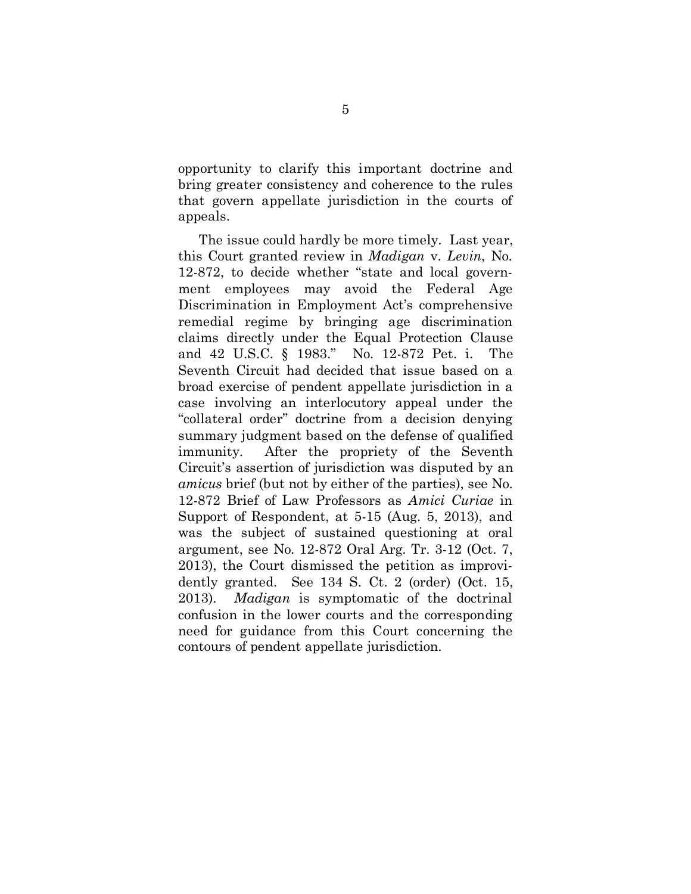opportunity to clarify this important doctrine and bring greater consistency and coherence to the rules that govern appellate jurisdiction in the courts of appeals.

The issue could hardly be more timely. Last year, this Court granted review in *Madigan* v. *Levin*, No. 12-872, to decide whether "state and local government employees may avoid the Federal Age Discrimination in Employment Act's comprehensive remedial regime by bringing age discrimination claims directly under the Equal Protection Clause and 42 U.S.C. § 1983." No. 12-872 Pet. i. The Seventh Circuit had decided that issue based on a broad exercise of pendent appellate jurisdiction in a case involving an interlocutory appeal under the "collateral order" doctrine from a decision denying summary judgment based on the defense of qualified immunity. After the propriety of the Seventh Circuit's assertion of jurisdiction was disputed by an *amicus* brief (but not by either of the parties), see No. 12-872 Brief of Law Professors as *Amici Curiae* in Support of Respondent, at 5-15 (Aug. 5, 2013), and was the subject of sustained questioning at oral argument, see No. 12-872 Oral Arg. Tr. 3-12 (Oct. 7, 2013), the Court dismissed the petition as improvidently granted. See 134 S. Ct. 2 (order) (Oct. 15, 2013). *Madigan* is symptomatic of the doctrinal confusion in the lower courts and the corresponding need for guidance from this Court concerning the contours of pendent appellate jurisdiction.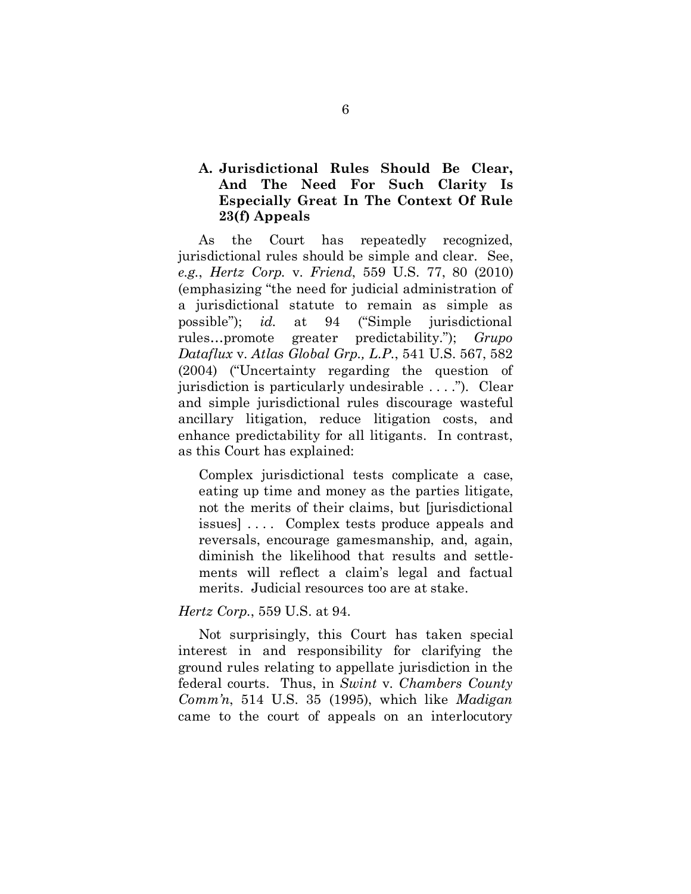#### **A. Jurisdictional Rules Should Be Clear, And The Need For Such Clarity Is Especially Great In The Context Of Rule 23(f) Appeals**

As the Court has repeatedly recognized, jurisdictional rules should be simple and clear. See, *e.g.*, *Hertz Corp.* v. *Friend*, 559 U.S. 77, 80 (2010) (emphasizing "the need for judicial administration of a jurisdictional statute to remain as simple as possible"); *id.* at 94 ("Simple jurisdictional rules…promote greater predictability."); *Grupo Dataflux* v. *Atlas Global Grp., L.P.*, 541 U.S. 567, 582 (2004) ("Uncertainty regarding the question of jurisdiction is particularly undesirable . . . ."). Clear and simple jurisdictional rules discourage wasteful ancillary litigation, reduce litigation costs, and enhance predictability for all litigants. In contrast, as this Court has explained:

Complex jurisdictional tests complicate a case, eating up time and money as the parties litigate, not the merits of their claims, but [jurisdictional issues] . . . . Complex tests produce appeals and reversals, encourage gamesmanship, and, again, diminish the likelihood that results and settlements will reflect a claim's legal and factual merits. Judicial resources too are at stake.

#### *Hertz Corp.*, 559 U.S. at 94.

Not surprisingly, this Court has taken special interest in and responsibility for clarifying the ground rules relating to appellate jurisdiction in the federal courts. Thus, in *Swint* v. *Chambers County Comm'n*, 514 U.S. 35 (1995), which like *Madigan* came to the court of appeals on an interlocutory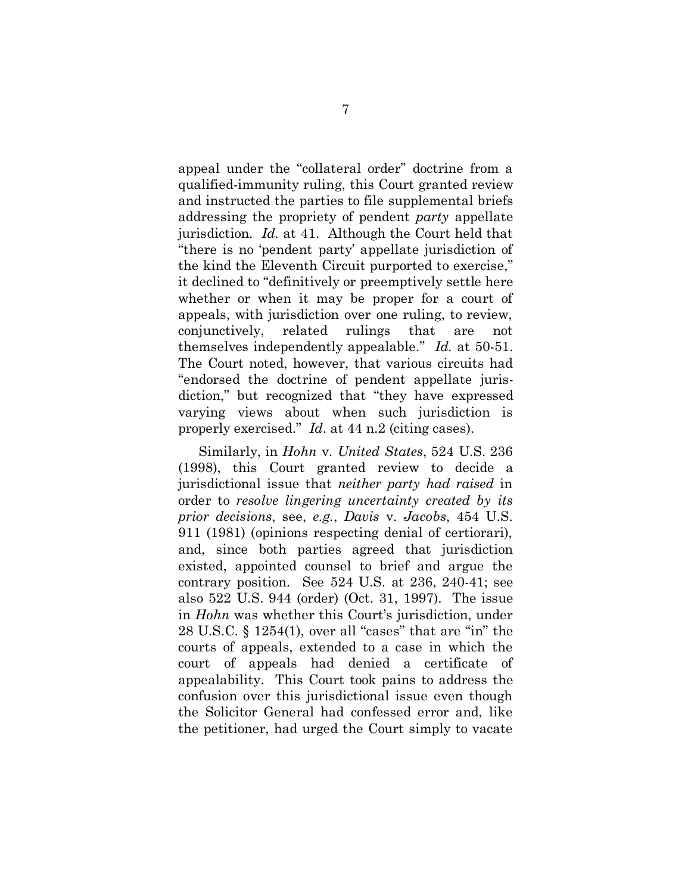appeal under the "collateral order" doctrine from a qualified-immunity ruling, this Court granted review and instructed the parties to file supplemental briefs addressing the propriety of pendent *party* appellate jurisdiction. *Id.* at 41. Although the Court held that "there is no 'pendent party' appellate jurisdiction of the kind the Eleventh Circuit purported to exercise," it declined to "definitively or preemptively settle here whether or when it may be proper for a court of appeals, with jurisdiction over one ruling, to review, conjunctively, related rulings that are not themselves independently appealable." *Id.* at 50-51. The Court noted, however, that various circuits had "endorsed the doctrine of pendent appellate jurisdiction," but recognized that "they have expressed varying views about when such jurisdiction is properly exercised." *Id*. at 44 n.2 (citing cases).

Similarly, in *Hohn* v. *United States*, 524 U.S. 236 (1998), this Court granted review to decide a jurisdictional issue that *neither party had raised* in order to *resolve lingering uncertainty created by its prior decisions*, see, *e.g.*, *Davis* v. *Jacobs*, 454 U.S. 911 (1981) (opinions respecting denial of certiorari), and, since both parties agreed that jurisdiction existed, appointed counsel to brief and argue the contrary position. See 524 U.S. at 236, 240-41; see also 522 U.S. 944 (order) (Oct. 31, 1997). The issue in *Hohn* was whether this Court's jurisdiction, under 28 U.S.C. § 1254(1), over all "cases" that are "in" the courts of appeals, extended to a case in which the court of appeals had denied a certificate of appealability. This Court took pains to address the confusion over this jurisdictional issue even though the Solicitor General had confessed error and, like the petitioner, had urged the Court simply to vacate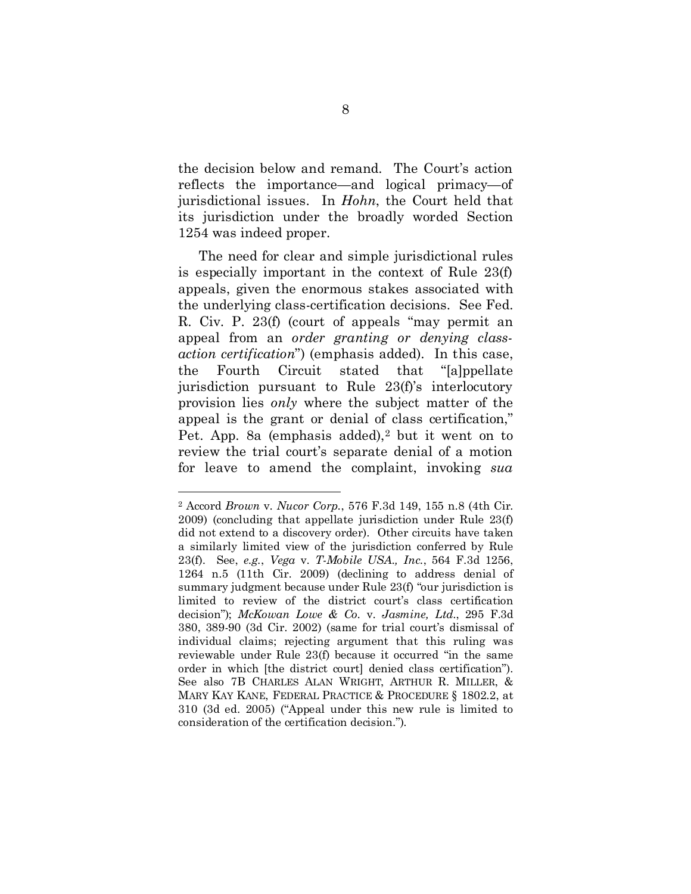the decision below and remand. The Court's action reflects the importance—and logical primacy—of jurisdictional issues. In *Hohn*, the Court held that its jurisdiction under the broadly worded Section 1254 was indeed proper.

The need for clear and simple jurisdictional rules is especially important in the context of Rule 23(f) appeals, given the enormous stakes associated with the underlying class-certification decisions. See Fed. R. Civ. P. 23(f) (court of appeals "may permit an appeal from an *order granting or denying classaction certification*") (emphasis added). In this case, the Fourth Circuit stated that "[a]ppellate jurisdiction pursuant to Rule 23(f)'s interlocutory provision lies *only* where the subject matter of the appeal is the grant or denial of class certification," Pet. App. 8a (emphasis added),2 but it went on to review the trial court's separate denial of a motion for leave to amend the complaint, invoking *sua* 

 $\overline{a}$ 

<sup>2</sup> Accord *Brown* v. *Nucor Corp.*, 576 F.3d 149, 155 n.8 (4th Cir. 2009) (concluding that appellate jurisdiction under Rule 23(f) did not extend to a discovery order). Other circuits have taken a similarly limited view of the jurisdiction conferred by Rule 23(f). See, *e.g.*, *Vega* v. *T-Mobile USA., Inc.*, 564 F.3d 1256, 1264 n.5 (11th Cir. 2009) (declining to address denial of summary judgment because under Rule 23(f) "our jurisdiction is limited to review of the district court's class certification decision"); *McKowan Lowe & Co.* v. *Jasmine, Ltd.*, 295 F.3d 380, 389-90 (3d Cir. 2002) (same for trial court's dismissal of individual claims; rejecting argument that this ruling was reviewable under Rule 23(f) because it occurred "in the same order in which [the district court] denied class certification"). See also 7B CHARLES ALAN WRIGHT, ARTHUR R. MILLER, & MARY KAY KANE, FEDERAL PRACTICE & PROCEDURE § 1802.2, at 310 (3d ed. 2005) ("Appeal under this new rule is limited to consideration of the certification decision.").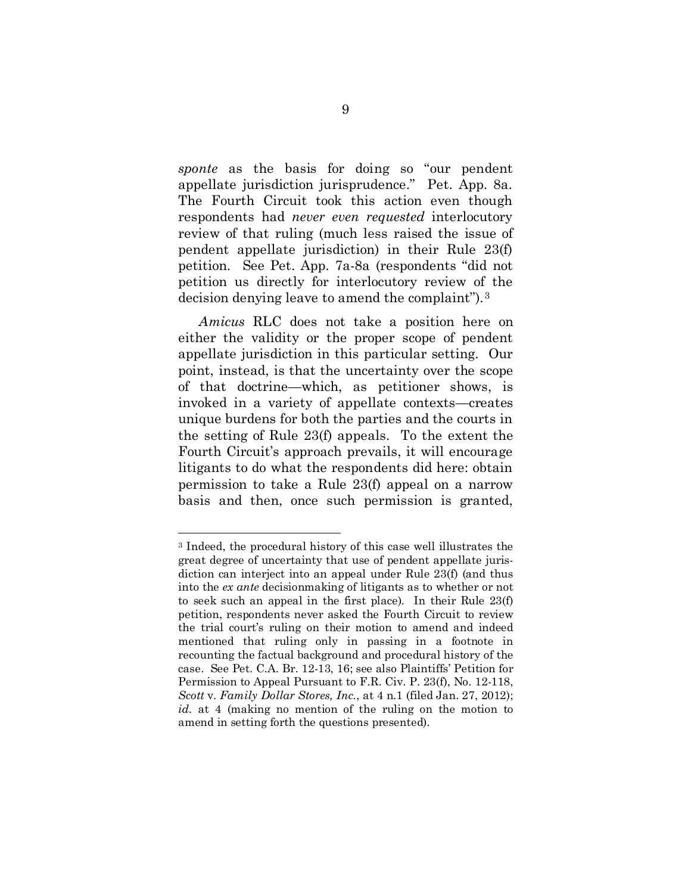*sponte* as the basis for doing so "our pendent appellate jurisdiction jurisprudence." Pet. App. 8a. The Fourth Circuit took this action even though respondents had *never even requested* interlocutory review of that ruling (much less raised the issue of pendent appellate jurisdiction) in their Rule 23(f) petition. See Pet. App. 7a-8a (respondents "did not petition us directly for interlocutory review of the decision denying leave to amend the complaint").3

*Amicus* RLC does not take a position here on either the validity or the proper scope of pendent appellate jurisdiction in this particular setting. Our point, instead, is that the uncertainty over the scope of that doctrine—which, as petitioner shows, is invoked in a variety of appellate contexts—creates unique burdens for both the parties and the courts in the setting of Rule 23(f) appeals. To the extent the Fourth Circuit's approach prevails, it will encourage litigants to do what the respondents did here: obtain permission to take a Rule 23(f) appeal on a narrow basis and then, once such permission is granted,

 $\overline{a}$ 

<sup>3</sup> Indeed, the procedural history of this case well illustrates the great degree of uncertainty that use of pendent appellate jurisdiction can interject into an appeal under Rule 23(f) (and thus into the *ex ante* decisionmaking of litigants as to whether or not to seek such an appeal in the first place). In their Rule 23(f) petition, respondents never asked the Fourth Circuit to review the trial court's ruling on their motion to amend and indeed mentioned that ruling only in passing in a footnote in recounting the factual background and procedural history of the case. See Pet. C.A. Br. 12-13, 16; see also Plaintiffs' Petition for Permission to Appeal Pursuant to F.R. Civ. P. 23(f), No. 12-118, *Scott* v. *Family Dollar Stores, Inc.*, at 4 n.1 (filed Jan. 27, 2012); *id.* at 4 (making no mention of the ruling on the motion to amend in setting forth the questions presented).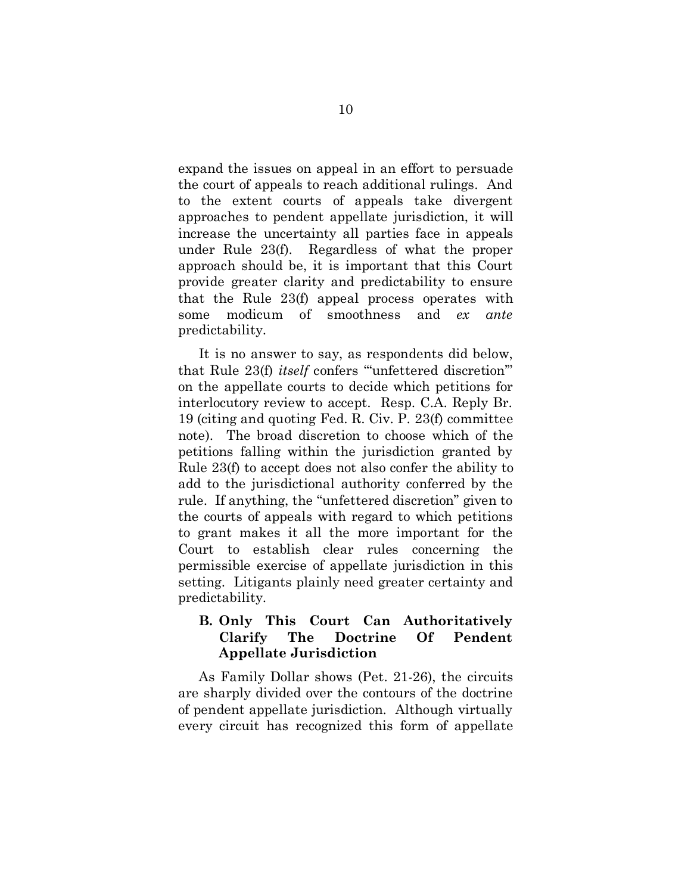expand the issues on appeal in an effort to persuade the court of appeals to reach additional rulings. And to the extent courts of appeals take divergent approaches to pendent appellate jurisdiction, it will increase the uncertainty all parties face in appeals under Rule 23(f). Regardless of what the proper approach should be, it is important that this Court provide greater clarity and predictability to ensure that the Rule 23(f) appeal process operates with some modicum of smoothness and *ex ante* predictability.

It is no answer to say, as respondents did below, that Rule 23(f) *itself* confers "unfettered discretion" on the appellate courts to decide which petitions for interlocutory review to accept. Resp. C.A. Reply Br. 19 (citing and quoting Fed. R. Civ. P. 23(f) committee note). The broad discretion to choose which of the petitions falling within the jurisdiction granted by Rule 23(f) to accept does not also confer the ability to add to the jurisdictional authority conferred by the rule. If anything, the "unfettered discretion" given to the courts of appeals with regard to which petitions to grant makes it all the more important for the Court to establish clear rules concerning the permissible exercise of appellate jurisdiction in this setting. Litigants plainly need greater certainty and predictability.

#### **B. Only This Court Can Authoritatively Clarify The Doctrine Of Pendent Appellate Jurisdiction**

As Family Dollar shows (Pet. 21-26), the circuits are sharply divided over the contours of the doctrine of pendent appellate jurisdiction. Although virtually every circuit has recognized this form of appellate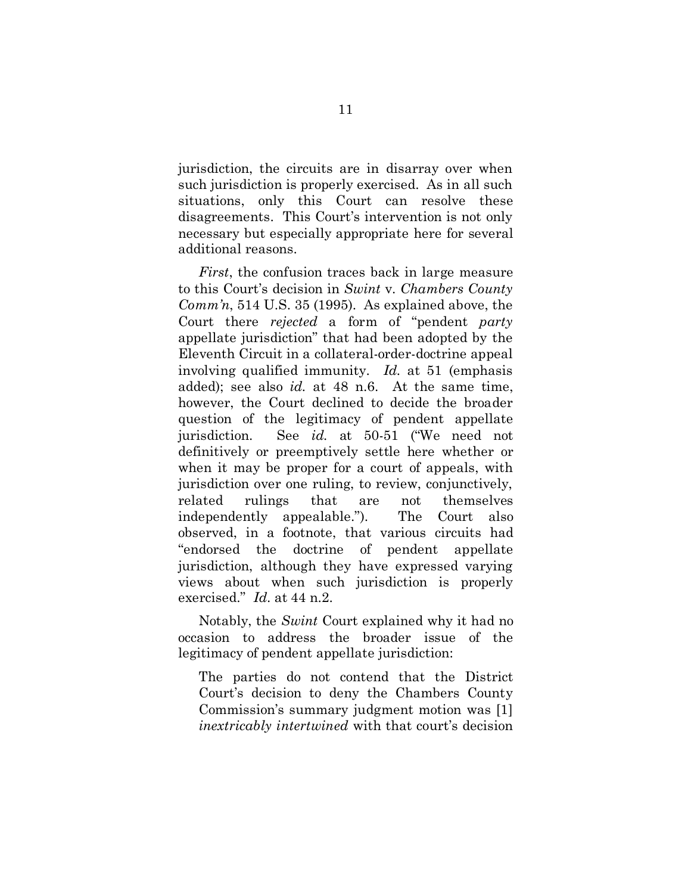jurisdiction, the circuits are in disarray over when such jurisdiction is properly exercised. As in all such situations, only this Court can resolve these disagreements. This Court's intervention is not only necessary but especially appropriate here for several additional reasons.

*First*, the confusion traces back in large measure to this Court's decision in *Swint* v. *Chambers County Comm'n*, 514 U.S. 35 (1995). As explained above, the Court there *rejected* a form of "pendent *party* appellate jurisdiction" that had been adopted by the Eleventh Circuit in a collateral-order-doctrine appeal involving qualified immunity. *Id.* at 51 (emphasis added); see also *id.* at 48 n.6. At the same time, however, the Court declined to decide the broader question of the legitimacy of pendent appellate jurisdiction. See *id.* at 50-51 ("We need not definitively or preemptively settle here whether or when it may be proper for a court of appeals, with jurisdiction over one ruling, to review, conjunctively, related rulings that are not themselves independently appealable."). The Court also observed, in a footnote, that various circuits had "endorsed the doctrine of pendent appellate jurisdiction, although they have expressed varying views about when such jurisdiction is properly exercised." *Id*. at 44 n.2.

Notably, the *Swint* Court explained why it had no occasion to address the broader issue of the legitimacy of pendent appellate jurisdiction:

The parties do not contend that the District Court's decision to deny the Chambers County Commission's summary judgment motion was [1] *inextricably intertwined* with that court's decision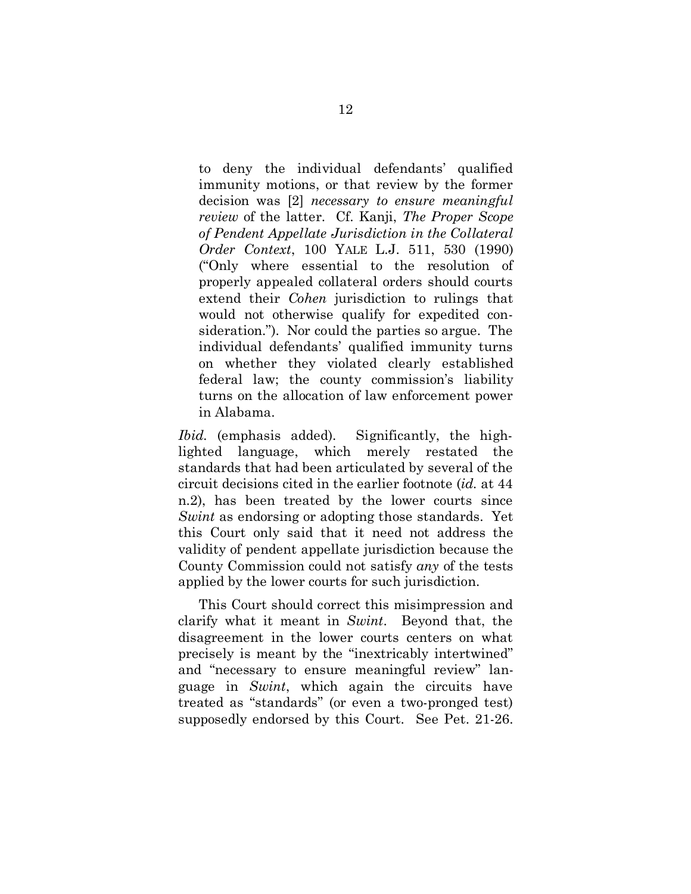to deny the individual defendants' qualified immunity motions, or that review by the former decision was [2] *necessary to ensure meaningful review* of the latter. Cf. Kanji, *The Proper Scope of Pendent Appellate Jurisdiction in the Collateral Order Context*, 100 YALE L.J. 511, 530 (1990) ("Only where essential to the resolution of properly appealed collateral orders should courts extend their *Cohen* jurisdiction to rulings that would not otherwise qualify for expedited consideration."). Nor could the parties so argue. The individual defendants' qualified immunity turns on whether they violated clearly established federal law; the county commission's liability turns on the allocation of law enforcement power in Alabama.

*Ibid.* (emphasis added). Significantly, the highlighted language, which merely restated the standards that had been articulated by several of the circuit decisions cited in the earlier footnote (*id.* at 44 n.2), has been treated by the lower courts since *Swint* as endorsing or adopting those standards. Yet this Court only said that it need not address the validity of pendent appellate jurisdiction because the County Commission could not satisfy *any* of the tests applied by the lower courts for such jurisdiction.

This Court should correct this misimpression and clarify what it meant in *Swint*. Beyond that, the disagreement in the lower courts centers on what precisely is meant by the "inextricably intertwined" and "necessary to ensure meaningful review" language in *Swint*, which again the circuits have treated as "standards" (or even a two-pronged test) supposedly endorsed by this Court. See Pet. 21-26.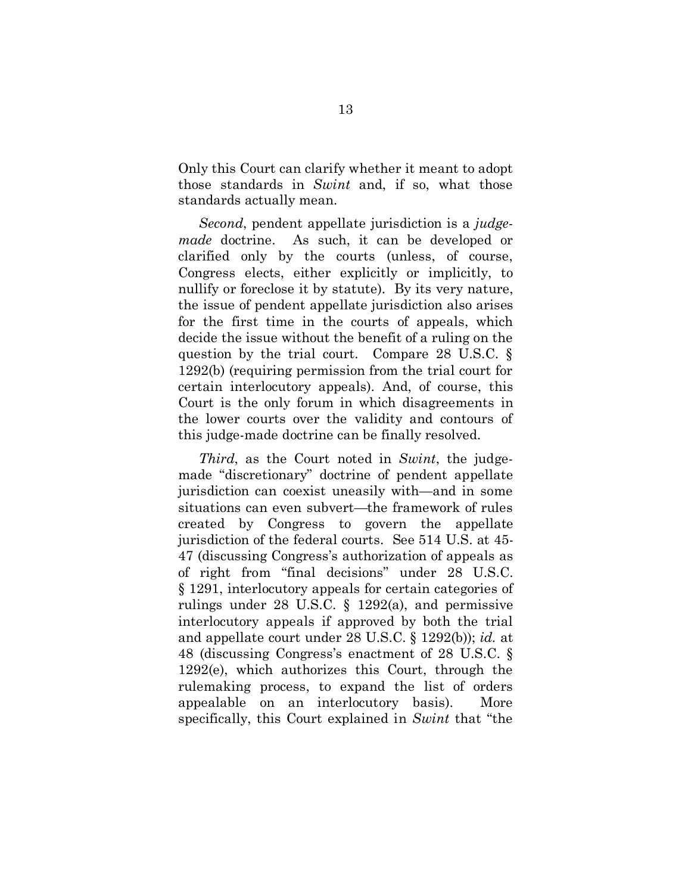Only this Court can clarify whether it meant to adopt those standards in *Swint* and, if so, what those standards actually mean.

*Second*, pendent appellate jurisdiction is a *judgemade* doctrine. As such, it can be developed or clarified only by the courts (unless, of course, Congress elects, either explicitly or implicitly, to nullify or foreclose it by statute). By its very nature, the issue of pendent appellate jurisdiction also arises for the first time in the courts of appeals, which decide the issue without the benefit of a ruling on the question by the trial court. Compare 28 U.S.C. § 1292(b) (requiring permission from the trial court for certain interlocutory appeals). And, of course, this Court is the only forum in which disagreements in the lower courts over the validity and contours of this judge-made doctrine can be finally resolved.

*Third*, as the Court noted in *Swint*, the judgemade "discretionary" doctrine of pendent appellate jurisdiction can coexist uneasily with—and in some situations can even subvert—the framework of rules created by Congress to govern the appellate jurisdiction of the federal courts. See 514 U.S. at 45- 47 (discussing Congress's authorization of appeals as of right from "final decisions" under 28 U.S.C. § 1291, interlocutory appeals for certain categories of rulings under 28 U.S.C. § 1292(a), and permissive interlocutory appeals if approved by both the trial and appellate court under 28 U.S.C. § 1292(b)); *id.* at 48 (discussing Congress's enactment of 28 U.S.C. § 1292(e), which authorizes this Court, through the rulemaking process, to expand the list of orders appealable on an interlocutory basis). More specifically, this Court explained in *Swint* that "the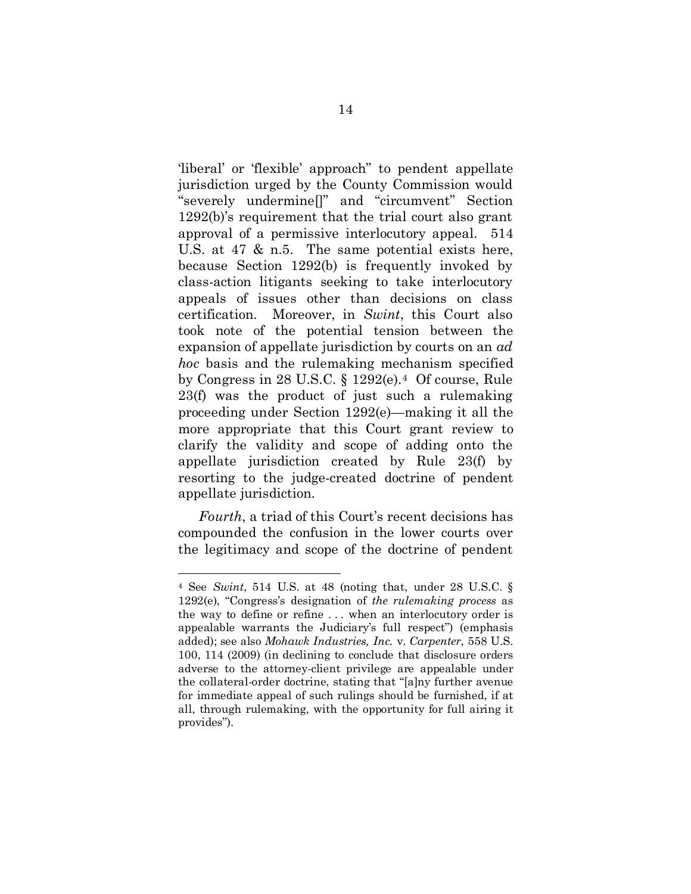'liberal' or 'flexible' approach" to pendent appellate jurisdiction urged by the County Commission would "severely undermine[]" and "circumvent" Section 1292(b)'s requirement that the trial court also grant approval of a permissive interlocutory appeal. 514 U.S. at 47 & n.5. The same potential exists here, because Section 1292(b) is frequently invoked by class-action litigants seeking to take interlocutory appeals of issues other than decisions on class certification. Moreover, in *Swint*, this Court also took note of the potential tension between the expansion of appellate jurisdiction by courts on an *ad hoc* basis and the rulemaking mechanism specified by Congress in 28 U.S.C.  $\S 1292(e)$ .<sup>4</sup> Of course, Rule 23(f) was the product of just such a rulemaking proceeding under Section 1292(e)—making it all the more appropriate that this Court grant review to clarify the validity and scope of adding onto the appellate jurisdiction created by Rule 23(f) by resorting to the judge-created doctrine of pendent appellate jurisdiction.

*Fourth*, a triad of this Court's recent decisions has compounded the confusion in the lower courts over the legitimacy and scope of the doctrine of pendent

 $\overline{a}$ 

<sup>4</sup> See *Swint*, 514 U.S. at 48 (noting that, under 28 U.S.C. § 1292(e), "Congress's designation of *the rulemaking process* as the way to define or refine . . . when an interlocutory order is appealable warrants the Judiciary's full respect") (emphasis added); see also *Mohawk Industries, Inc.* v. *Carpenter*, 558 U.S. 100, 114 (2009) (in declining to conclude that disclosure orders adverse to the attorney-client privilege are appealable under the collateral-order doctrine, stating that "[a]ny further avenue for immediate appeal of such rulings should be furnished, if at all, through rulemaking, with the opportunity for full airing it provides").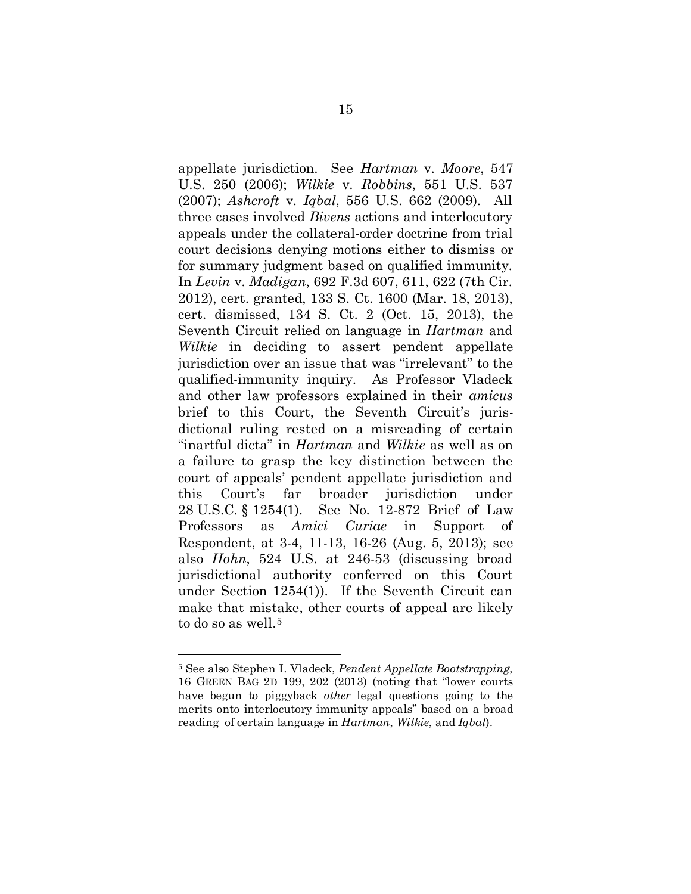appellate jurisdiction. See *Hartman* v. *Moore*, 547 U.S. 250 (2006); *Wilkie* v. *Robbins*, 551 U.S. 537 (2007); *Ashcroft* v. *Iqbal*, 556 U.S. 662 (2009). All three cases involved *Bivens* actions and interlocutory appeals under the collateral-order doctrine from trial court decisions denying motions either to dismiss or for summary judgment based on qualified immunity. In *Levin* v. *Madigan*, 692 F.3d 607, 611, 622 (7th Cir. 2012), cert. granted, 133 S. Ct. 1600 (Mar. 18, 2013), cert. dismissed, 134 S. Ct. 2 (Oct. 15, 2013), the Seventh Circuit relied on language in *Hartman* and *Wilkie* in deciding to assert pendent appellate jurisdiction over an issue that was "irrelevant" to the qualified-immunity inquiry. As Professor Vladeck and other law professors explained in their *amicus* brief to this Court, the Seventh Circuit's jurisdictional ruling rested on a misreading of certain "inartful dicta" in *Hartman* and *Wilkie* as well as on a failure to grasp the key distinction between the court of appeals' pendent appellate jurisdiction and this Court's far broader jurisdiction under 28 U.S.C. § 1254(1). See No. 12-872 Brief of Law Professors as *Amici Curiae* in Support Respondent, at 3-4, 11-13, 16-26 (Aug. 5, 2013); see also *Hohn*, 524 U.S. at 246-53 (discussing broad jurisdictional authority conferred on this Court under Section 1254(1)). If the Seventh Circuit can make that mistake, other courts of appeal are likely to do so as well.<sup>5</sup>

 $\overline{a}$ 

<sup>5</sup> See also Stephen I. Vladeck, *Pendent Appellate Bootstrapping*, 16 GREEN BAG 2D 199, 202 (2013) (noting that "lower courts have begun to piggyback *other* legal questions going to the merits onto interlocutory immunity appeals" based on a broad reading of certain language in *Hartman*, *Wilkie*, and *Iqbal*).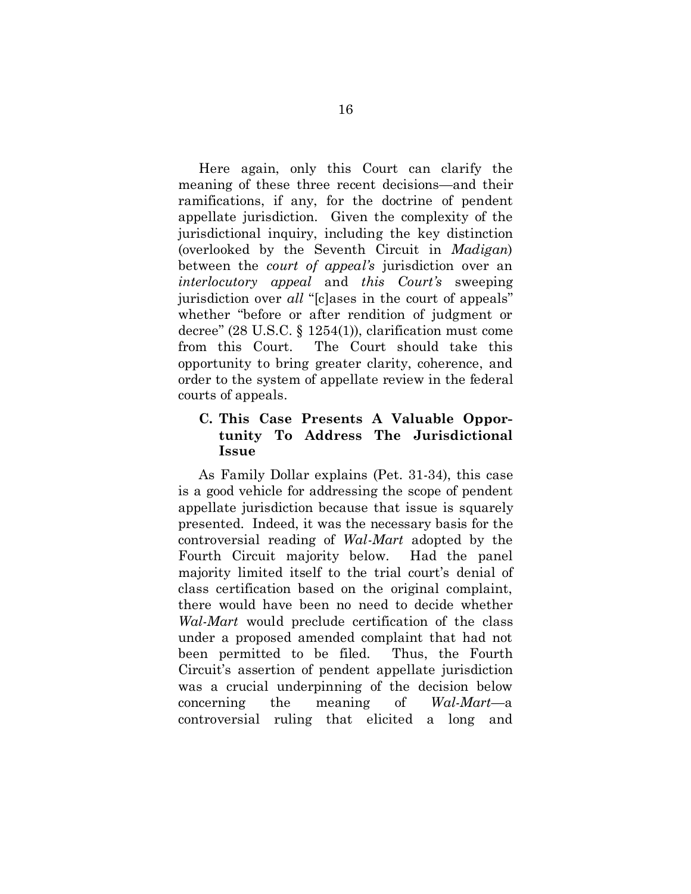Here again, only this Court can clarify the meaning of these three recent decisions—and their ramifications, if any, for the doctrine of pendent appellate jurisdiction. Given the complexity of the jurisdictional inquiry, including the key distinction (overlooked by the Seventh Circuit in *Madigan*) between the *court of appeal's* jurisdiction over an *interlocutory appeal* and *this Court's* sweeping jurisdiction over *all* "[c]ases in the court of appeals" whether "before or after rendition of judgment or decree" (28 U.S.C. § 1254(1)), clarification must come from this Court. The Court should take this opportunity to bring greater clarity, coherence, and order to the system of appellate review in the federal courts of appeals.

#### **C. This Case Presents A Valuable Opportunity To Address The Jurisdictional Issue**

As Family Dollar explains (Pet. 31-34), this case is a good vehicle for addressing the scope of pendent appellate jurisdiction because that issue is squarely presented. Indeed, it was the necessary basis for the controversial reading of *Wal-Mart* adopted by the Fourth Circuit majority below. Had the panel majority limited itself to the trial court's denial of class certification based on the original complaint, there would have been no need to decide whether *Wal-Mart* would preclude certification of the class under a proposed amended complaint that had not been permitted to be filed. Thus, the Fourth Circuit's assertion of pendent appellate jurisdiction was a crucial underpinning of the decision below concerning the meaning of *Wal-Mart*—a controversial ruling that elicited a long and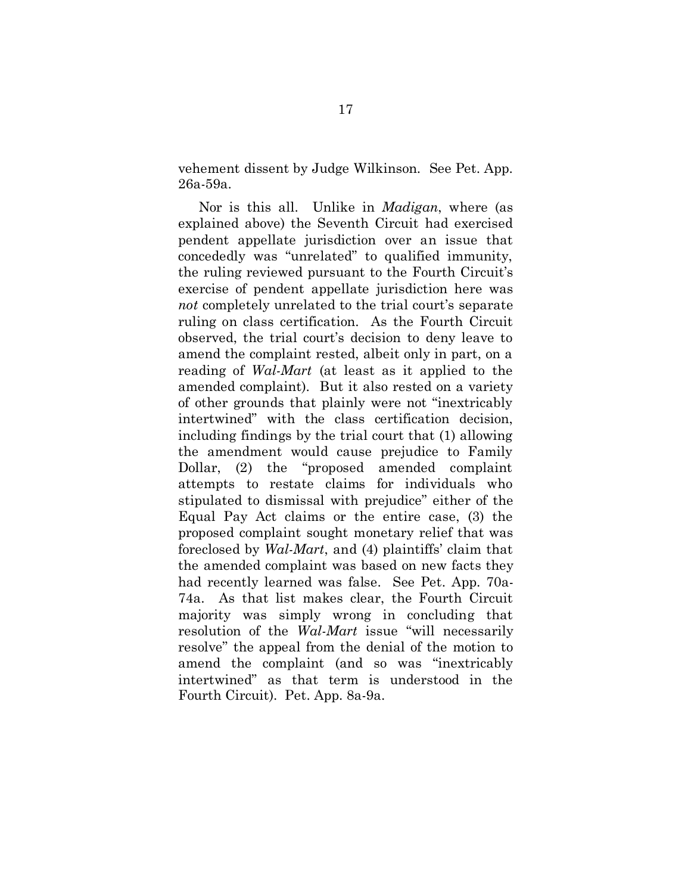vehement dissent by Judge Wilkinson. See Pet. App. 26a-59a.

Nor is this all. Unlike in *Madigan*, where (as explained above) the Seventh Circuit had exercised pendent appellate jurisdiction over an issue that concededly was "unrelated" to qualified immunity, the ruling reviewed pursuant to the Fourth Circuit's exercise of pendent appellate jurisdiction here was *not* completely unrelated to the trial court's separate ruling on class certification. As the Fourth Circuit observed, the trial court's decision to deny leave to amend the complaint rested, albeit only in part, on a reading of *Wal-Mart* (at least as it applied to the amended complaint). But it also rested on a variety of other grounds that plainly were not "inextricably intertwined" with the class certification decision, including findings by the trial court that (1) allowing the amendment would cause prejudice to Family Dollar, (2) the "proposed amended complaint attempts to restate claims for individuals who stipulated to dismissal with prejudice" either of the Equal Pay Act claims or the entire case, (3) the proposed complaint sought monetary relief that was foreclosed by *Wal-Mart*, and (4) plaintiffs' claim that the amended complaint was based on new facts they had recently learned was false. See Pet. App. 70a-74a. As that list makes clear, the Fourth Circuit majority was simply wrong in concluding that resolution of the *Wal-Mart* issue "will necessarily resolve" the appeal from the denial of the motion to amend the complaint (and so was "inextricably intertwined" as that term is understood in the Fourth Circuit). Pet. App. 8a-9a.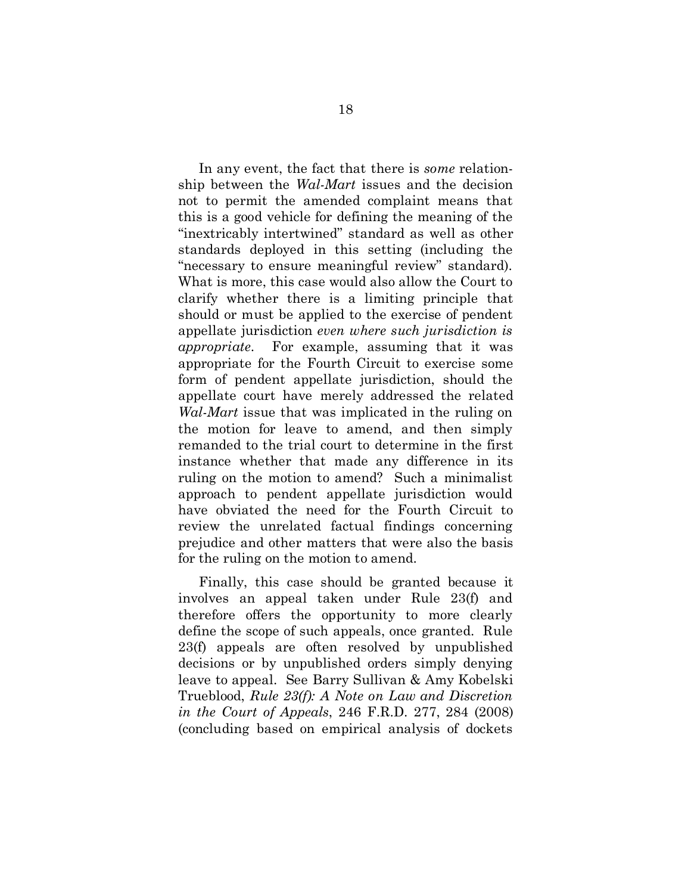In any event, the fact that there is *some* relationship between the *Wal-Mart* issues and the decision not to permit the amended complaint means that this is a good vehicle for defining the meaning of the "inextricably intertwined" standard as well as other standards deployed in this setting (including the "necessary to ensure meaningful review" standard). What is more, this case would also allow the Court to clarify whether there is a limiting principle that should or must be applied to the exercise of pendent appellate jurisdiction *even where such jurisdiction is appropriate*. For example, assuming that it was appropriate for the Fourth Circuit to exercise some form of pendent appellate jurisdiction, should the appellate court have merely addressed the related *Wal-Mart* issue that was implicated in the ruling on the motion for leave to amend, and then simply remanded to the trial court to determine in the first instance whether that made any difference in its ruling on the motion to amend? Such a minimalist approach to pendent appellate jurisdiction would have obviated the need for the Fourth Circuit to review the unrelated factual findings concerning prejudice and other matters that were also the basis for the ruling on the motion to amend.

Finally, this case should be granted because it involves an appeal taken under Rule 23(f) and therefore offers the opportunity to more clearly define the scope of such appeals, once granted. Rule 23(f) appeals are often resolved by unpublished decisions or by unpublished orders simply denying leave to appeal. See Barry Sullivan & Amy Kobelski Trueblood, *Rule 23(f): A Note on Law and Discretion in the Court of Appeals*, 246 F.R.D. 277, 284 (2008) (concluding based on empirical analysis of dockets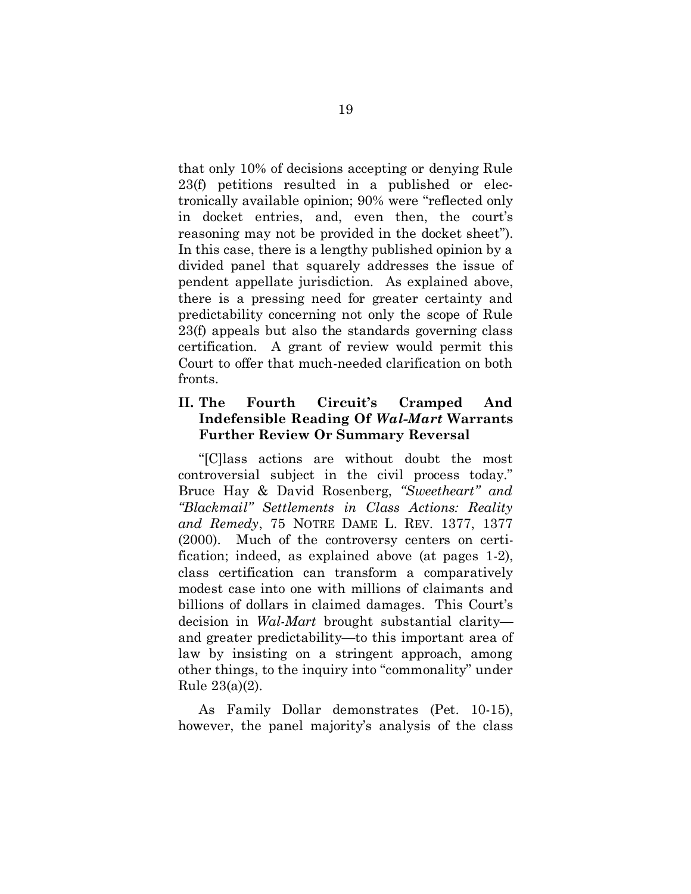that only 10% of decisions accepting or denying Rule 23(f) petitions resulted in a published or electronically available opinion; 90% were "reflected only in docket entries, and, even then, the court's reasoning may not be provided in the docket sheet"). In this case, there is a lengthy published opinion by a divided panel that squarely addresses the issue of pendent appellate jurisdiction. As explained above, there is a pressing need for greater certainty and predictability concerning not only the scope of Rule 23(f) appeals but also the standards governing class certification. A grant of review would permit this Court to offer that much-needed clarification on both fronts.

#### **II. The Fourth Circuit's Cramped And Indefensible Reading Of** *Wal-Mart* **Warrants Further Review Or Summary Reversal**

"[C]lass actions are without doubt the most controversial subject in the civil process today." Bruce Hay & David Rosenberg, *"Sweetheart" and "Blackmail" Settlements in Class Actions: Reality and Remedy*, 75 NOTRE DAME L. REV. 1377, 1377 (2000). Much of the controversy centers on certification; indeed, as explained above (at pages 1-2), class certification can transform a comparatively modest case into one with millions of claimants and billions of dollars in claimed damages. This Court's decision in *Wal-Mart* brought substantial clarity and greater predictability—to this important area of law by insisting on a stringent approach, among other things, to the inquiry into "commonality" under Rule 23(a)(2).

As Family Dollar demonstrates (Pet. 10-15), however, the panel majority's analysis of the class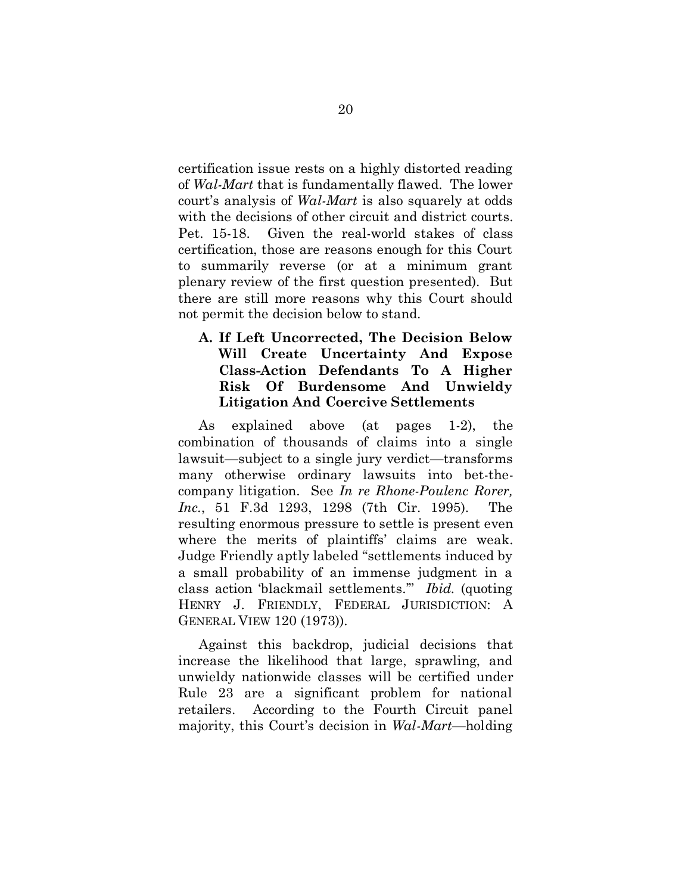certification issue rests on a highly distorted reading of *Wal-Mart* that is fundamentally flawed. The lower court's analysis of *Wal-Mart* is also squarely at odds with the decisions of other circuit and district courts. Pet. 15-18. Given the real-world stakes of class certification, those are reasons enough for this Court to summarily reverse (or at a minimum grant plenary review of the first question presented). But there are still more reasons why this Court should not permit the decision below to stand.

#### **A. If Left Uncorrected, The Decision Below Will Create Uncertainty And Expose Class-Action Defendants To A Higher Risk Of Burdensome And Unwieldy Litigation And Coercive Settlements**

As explained above (at pages 1-2), the combination of thousands of claims into a single lawsuit—subject to a single jury verdict—transforms many otherwise ordinary lawsuits into bet-thecompany litigation. See *In re Rhone-Poulenc Rorer, Inc.*, 51 F.3d 1293, 1298 (7th Cir. 1995). The resulting enormous pressure to settle is present even where the merits of plaintiffs' claims are weak. Judge Friendly aptly labeled "settlements induced by a small probability of an immense judgment in a class action 'blackmail settlements.'" *Ibid.* (quoting HENRY J. FRIENDLY, FEDERAL JURISDICTION: A GENERAL VIEW 120 (1973)).

Against this backdrop, judicial decisions that increase the likelihood that large, sprawling, and unwieldy nationwide classes will be certified under Rule 23 are a significant problem for national retailers. According to the Fourth Circuit panel majority, this Court's decision in *Wal-Mart*—holding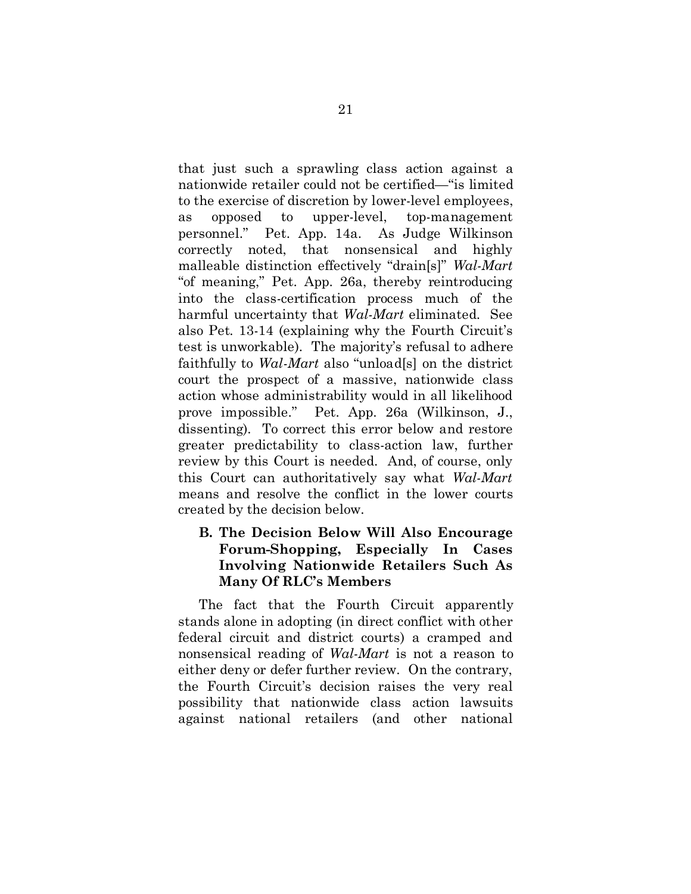that just such a sprawling class action against a nationwide retailer could not be certified—"is limited to the exercise of discretion by lower-level employees, as opposed to upper-level, top-management personnel." Pet. App. 14a. As Judge Wilkinson correctly noted, that nonsensical and highly malleable distinction effectively "drain[s]" *Wal-Mart* "of meaning," Pet. App. 26a, thereby reintroducing into the class-certification process much of the harmful uncertainty that *Wal-Mart* eliminated. See also Pet. 13-14 (explaining why the Fourth Circuit's test is unworkable). The majority's refusal to adhere faithfully to *Wal-Mart* also "unload[s] on the district court the prospect of a massive, nationwide class action whose administrability would in all likelihood prove impossible." Pet. App. 26a (Wilkinson, J., dissenting). To correct this error below and restore greater predictability to class-action law, further review by this Court is needed. And, of course, only this Court can authoritatively say what *Wal-Mart* means and resolve the conflict in the lower courts created by the decision below.

#### **B. The Decision Below Will Also Encourage Forum-Shopping, Especially In Cases Involving Nationwide Retailers Such As Many Of RLC's Members**

The fact that the Fourth Circuit apparently stands alone in adopting (in direct conflict with other federal circuit and district courts) a cramped and nonsensical reading of *Wal-Mart* is not a reason to either deny or defer further review. On the contrary, the Fourth Circuit's decision raises the very real possibility that nationwide class action lawsuits against national retailers (and other national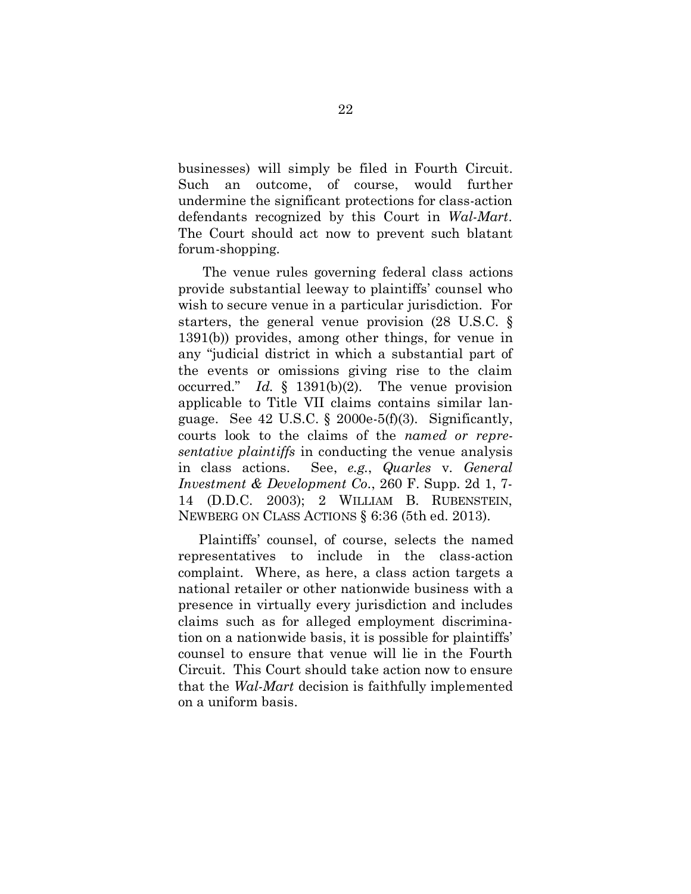businesses) will simply be filed in Fourth Circuit. Such an outcome, of course, would further undermine the significant protections for class-action defendants recognized by this Court in *Wal-Mart*. The Court should act now to prevent such blatant forum-shopping.

The venue rules governing federal class actions provide substantial leeway to plaintiffs' counsel who wish to secure venue in a particular jurisdiction. For starters, the general venue provision (28 U.S.C. § 1391(b)) provides, among other things, for venue in any "judicial district in which a substantial part of the events or omissions giving rise to the claim occurred." *Id.* § 1391(b)(2). The venue provision applicable to Title VII claims contains similar language. See 42 U.S.C.  $\S$  2000e-5(f)(3). Significantly, courts look to the claims of the *named or representative plaintiffs* in conducting the venue analysis in class actions. See, *e.g.*, *Quarles* v. *General Investment & Development Co.*, 260 F. Supp. 2d 1, 7- 14 (D.D.C. 2003); 2 WILLIAM B. RUBENSTEIN, NEWBERG ON CLASS ACTIONS § 6:36 (5th ed. 2013).

Plaintiffs' counsel, of course, selects the named representatives to include in the class-action complaint. Where, as here, a class action targets a national retailer or other nationwide business with a presence in virtually every jurisdiction and includes claims such as for alleged employment discrimination on a nationwide basis, it is possible for plaintiffs' counsel to ensure that venue will lie in the Fourth Circuit. This Court should take action now to ensure that the *Wal-Mart* decision is faithfully implemented on a uniform basis.